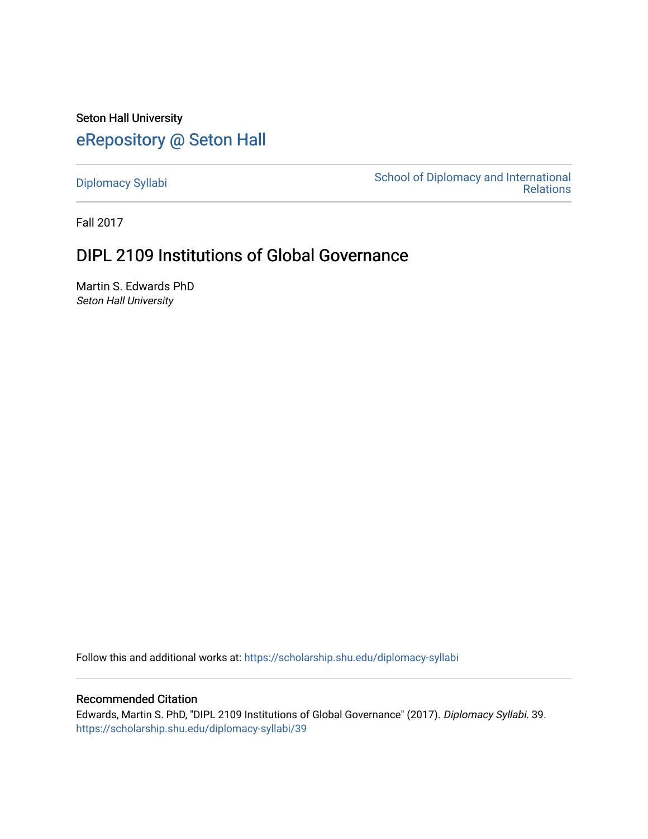Seton Hall University [eRepository @ Seton Hall](https://scholarship.shu.edu/)

[Diplomacy Syllabi](https://scholarship.shu.edu/diplomacy-syllabi) [School of Diplomacy and International](https://scholarship.shu.edu/diplomacy)  [Relations](https://scholarship.shu.edu/diplomacy) 

Fall 2017

# DIPL 2109 Institutions of Global Governance

Martin S. Edwards PhD Seton Hall University

Follow this and additional works at: [https://scholarship.shu.edu/diplomacy-syllabi](https://scholarship.shu.edu/diplomacy-syllabi?utm_source=scholarship.shu.edu%2Fdiplomacy-syllabi%2F39&utm_medium=PDF&utm_campaign=PDFCoverPages) 

### Recommended Citation

Edwards, Martin S. PhD, "DIPL 2109 Institutions of Global Governance" (2017). Diplomacy Syllabi. 39. [https://scholarship.shu.edu/diplomacy-syllabi/39](https://scholarship.shu.edu/diplomacy-syllabi/39?utm_source=scholarship.shu.edu%2Fdiplomacy-syllabi%2F39&utm_medium=PDF&utm_campaign=PDFCoverPages)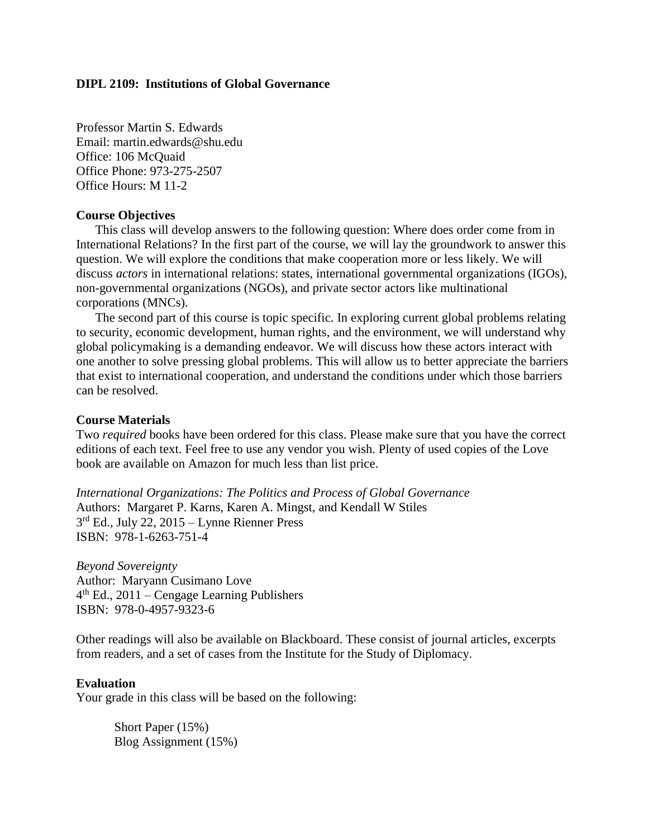### **DIPL 2109: Institutions of Global Governance**

Professor Martin S. Edwards Email: martin.edwards@shu.edu Office: 106 McQuaid Office Phone: 973-275-2507 Office Hours: M 11-2

### **Course Objectives**

This class will develop answers to the following question: Where does order come from in International Relations? In the first part of the course, we will lay the groundwork to answer this question. We will explore the conditions that make cooperation more or less likely. We will discuss *actors* in international relations: states, international governmental organizations (IGOs), non-governmental organizations (NGOs), and private sector actors like multinational corporations (MNCs).

The second part of this course is topic specific. In exploring current global problems relating to security, economic development, human rights, and the environment, we will understand why global policymaking is a demanding endeavor. We will discuss how these actors interact with one another to solve pressing global problems. This will allow us to better appreciate the barriers that exist to international cooperation, and understand the conditions under which those barriers can be resolved.

### **Course Materials**

Two *required* books have been ordered for this class. Please make sure that you have the correct editions of each text. Feel free to use any vendor you wish. Plenty of used copies of the Love book are available on Amazon for much less than list price.

*International Organizations: The Politics and Process of Global Governance* Authors: Margaret P. Karns, Karen A. Mingst, and Kendall W Stiles 3<sup>rd</sup> Ed., July 22, 2015 – Lynne Rienner Press ISBN: 978-1-6263-751-4

*Beyond Sovereignty* Author: Maryann Cusimano Love 4 th Ed., 2011 – Cengage Learning Publishers ISBN: 978-0-4957-9323-6

Other readings will also be available on Blackboard. These consist of journal articles, excerpts from readers, and a set of cases from the Institute for the Study of Diplomacy.

### **Evaluation**

Your grade in this class will be based on the following:

Short Paper (15%) Blog Assignment (15%)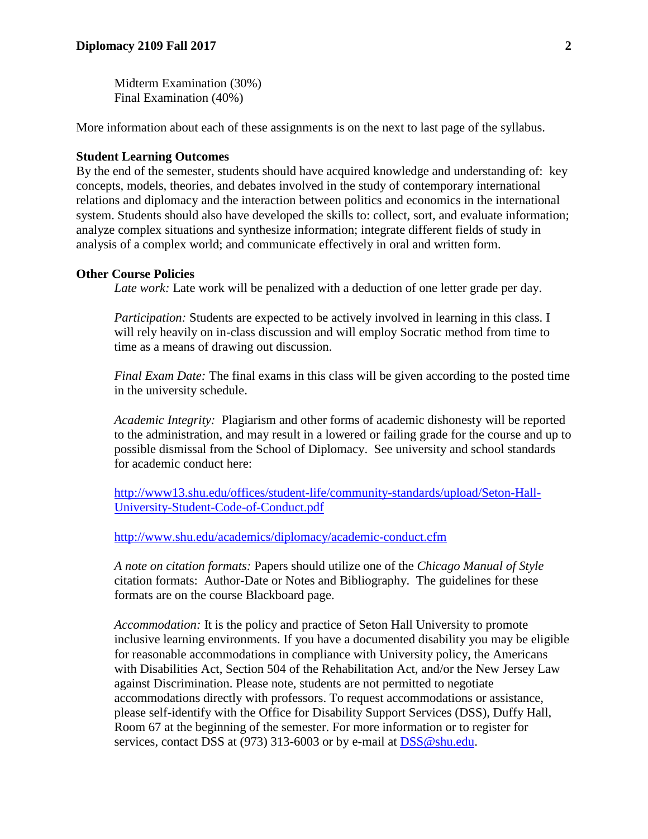Midterm Examination (30%) Final Examination (40%)

More information about each of these assignments is on the next to last page of the syllabus.

### **Student Learning Outcomes**

By the end of the semester, students should have acquired knowledge and understanding of: key concepts, models, theories, and debates involved in the study of contemporary international relations and diplomacy and the interaction between politics and economics in the international system. Students should also have developed the skills to: collect, sort, and evaluate information; analyze complex situations and synthesize information; integrate different fields of study in analysis of a complex world; and communicate effectively in oral and written form.

#### **Other Course Policies**

*Late work:* Late work will be penalized with a deduction of one letter grade per day.

*Participation:* Students are expected to be actively involved in learning in this class. I will rely heavily on in-class discussion and will employ Socratic method from time to time as a means of drawing out discussion.

*Final Exam Date:* The final exams in this class will be given according to the posted time in the university schedule.

*Academic Integrity:* Plagiarism and other forms of academic dishonesty will be reported to the administration, and may result in a lowered or failing grade for the course and up to possible dismissal from the School of Diplomacy. See university and school standards for academic conduct here:

[http://www13.shu.edu/offices/student-life/community-standards/upload/Seton-Hall-](http://www13.shu.edu/offices/student-life/community-standards/upload/Seton-Hall-University-Student-Code-of-Conduct.pdf)[University-Student-Code-of-Conduct.pdf](http://www13.shu.edu/offices/student-life/community-standards/upload/Seton-Hall-University-Student-Code-of-Conduct.pdf)

<http://www.shu.edu/academics/diplomacy/academic-conduct.cfm>

*A note on citation formats:* Papers should utilize one of the *Chicago Manual of Style*  citation formats: Author-Date or Notes and Bibliography. The guidelines for these formats are on the course Blackboard page.

*Accommodation:* It is the policy and practice of Seton Hall University to promote inclusive learning environments. If you have a documented disability you may be eligible for reasonable accommodations in compliance with University policy, the Americans with Disabilities Act, Section 504 of the Rehabilitation Act, and/or the New Jersey Law against Discrimination. Please note, students are not permitted to negotiate accommodations directly with professors. To request accommodations or assistance, please self-identify with the Office for Disability Support Services (DSS), Duffy Hall, Room 67 at the beginning of the semester. For more information or to register for services, contact DSS at (973) 313-6003 or by e-mail at [DSS@shu.edu.](mailto:DSS@shu.edu)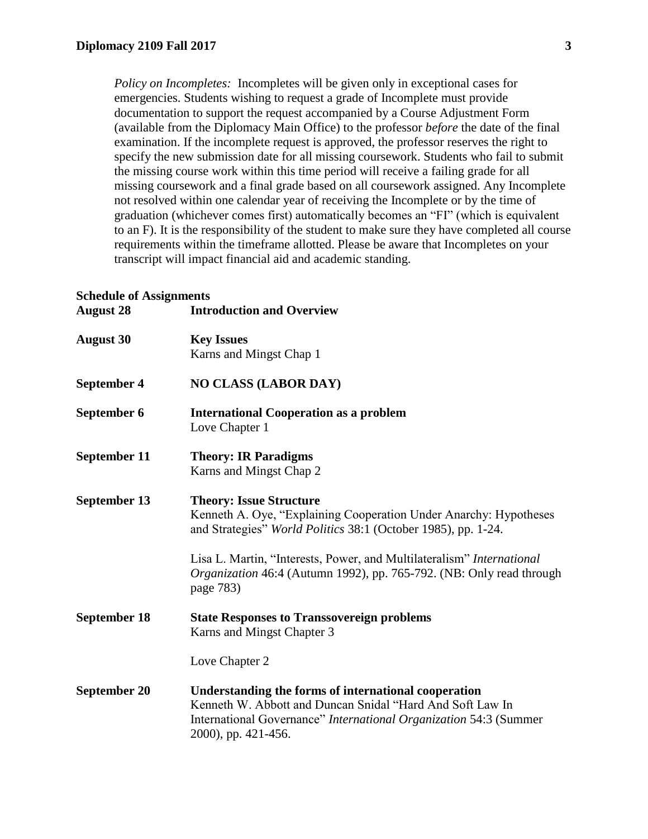*Policy on Incompletes:* Incompletes will be given only in exceptional cases for emergencies. Students wishing to request a grade of Incomplete must provide documentation to support the request accompanied by a Course Adjustment Form (available from the Diplomacy Main Office) to the professor *before* the date of the final examination. If the incomplete request is approved, the professor reserves the right to specify the new submission date for all missing coursework. Students who fail to submit the missing course work within this time period will receive a failing grade for all missing coursework and a final grade based on all coursework assigned. Any Incomplete not resolved within one calendar year of receiving the Incomplete or by the time of graduation (whichever comes first) automatically becomes an "FI" (which is equivalent to an F). It is the responsibility of the student to make sure they have completed all course requirements within the timeframe allotted. Please be aware that Incompletes on your transcript will impact financial aid and academic standing.

#### **Schedule of Assignments August 28 Introduction and Overview**

| August 20           | mu ouucuon and Overview                                                                                                                                                                                       |
|---------------------|---------------------------------------------------------------------------------------------------------------------------------------------------------------------------------------------------------------|
| <b>August 30</b>    | <b>Key Issues</b><br>Karns and Mingst Chap 1                                                                                                                                                                  |
| <b>September 4</b>  | <b>NO CLASS (LABOR DAY)</b>                                                                                                                                                                                   |
| September 6         | <b>International Cooperation as a problem</b><br>Love Chapter 1                                                                                                                                               |
| September 11        | <b>Theory: IR Paradigms</b><br>Karns and Mingst Chap 2                                                                                                                                                        |
| September 13        | <b>Theory: Issue Structure</b><br>Kenneth A. Oye, "Explaining Cooperation Under Anarchy: Hypotheses<br>and Strategies" World Politics 38:1 (October 1985), pp. 1-24.                                          |
|                     | Lisa L. Martin, "Interests, Power, and Multilateralism" <i>International</i><br>Organization 46:4 (Autumn 1992), pp. 765-792. (NB: Only read through<br>page 783)                                             |
| <b>September 18</b> | <b>State Responses to Transsovereign problems</b><br>Karns and Mingst Chapter 3                                                                                                                               |
|                     | Love Chapter 2                                                                                                                                                                                                |
| <b>September 20</b> | Understanding the forms of international cooperation<br>Kenneth W. Abbott and Duncan Snidal "Hard And Soft Law In<br>International Governance" International Organization 54:3 (Summer<br>2000), pp. 421-456. |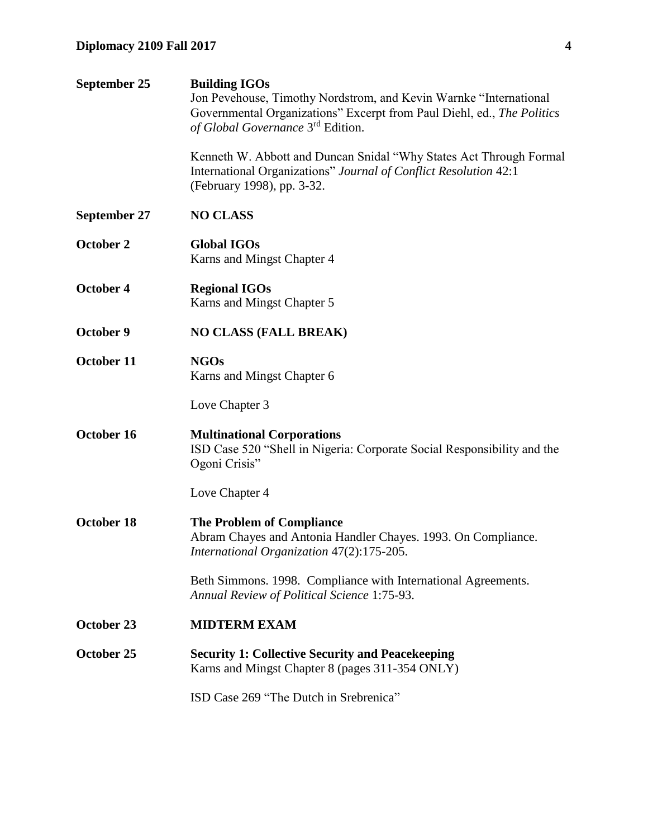| September 25        | <b>Building IGOs</b><br>Jon Pevehouse, Timothy Nordstrom, and Kevin Warnke "International<br>Governmental Organizations" Excerpt from Paul Diehl, ed., The Politics<br>of Global Governance 3 <sup>rd</sup> Edition. |
|---------------------|----------------------------------------------------------------------------------------------------------------------------------------------------------------------------------------------------------------------|
|                     | Kenneth W. Abbott and Duncan Snidal "Why States Act Through Formal<br>International Organizations" Journal of Conflict Resolution 42:1<br>(February 1998), pp. 3-32.                                                 |
| <b>September 27</b> | <b>NO CLASS</b>                                                                                                                                                                                                      |
| October 2           | <b>Global IGOs</b><br>Karns and Mingst Chapter 4                                                                                                                                                                     |
| October 4           | <b>Regional IGOs</b><br>Karns and Mingst Chapter 5                                                                                                                                                                   |
| October 9           | <b>NO CLASS (FALL BREAK)</b>                                                                                                                                                                                         |
| October 11          | <b>NGOs</b><br>Karns and Mingst Chapter 6                                                                                                                                                                            |
|                     | Love Chapter 3                                                                                                                                                                                                       |
| October 16          | <b>Multinational Corporations</b><br>ISD Case 520 "Shell in Nigeria: Corporate Social Responsibility and the<br>Ogoni Crisis"                                                                                        |
|                     | Love Chapter 4                                                                                                                                                                                                       |
| October 18          | <b>The Problem of Compliance</b><br>Abram Chayes and Antonia Handler Chayes. 1993. On Compliance.<br>International Organization 47(2):175-205.                                                                       |
|                     | Beth Simmons. 1998. Compliance with International Agreements.<br>Annual Review of Political Science 1:75-93.                                                                                                         |
| October 23          | <b>MIDTERM EXAM</b>                                                                                                                                                                                                  |
| October 25          | <b>Security 1: Collective Security and Peacekeeping</b><br>Karns and Mingst Chapter 8 (pages 311-354 ONLY)                                                                                                           |
|                     | ISD Case 269 "The Dutch in Srebrenica"                                                                                                                                                                               |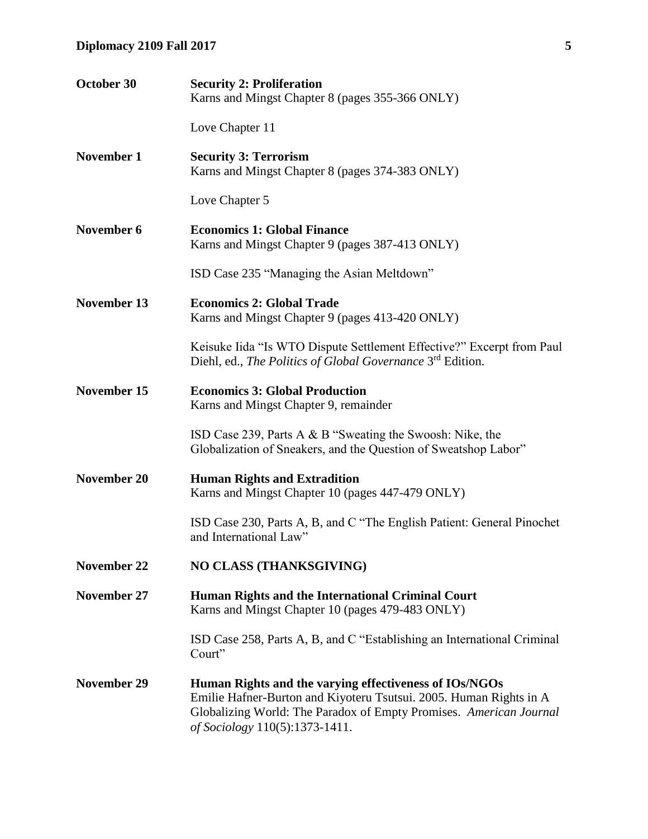| October 30         | <b>Security 2: Proliferation</b><br>Karns and Mingst Chapter 8 (pages 355-366 ONLY)                                                                                                                                                  |
|--------------------|--------------------------------------------------------------------------------------------------------------------------------------------------------------------------------------------------------------------------------------|
|                    | Love Chapter 11                                                                                                                                                                                                                      |
| <b>November 1</b>  | <b>Security 3: Terrorism</b><br>Karns and Mingst Chapter 8 (pages 374-383 ONLY)                                                                                                                                                      |
|                    | Love Chapter 5                                                                                                                                                                                                                       |
| November 6         | <b>Economics 1: Global Finance</b><br>Karns and Mingst Chapter 9 (pages 387-413 ONLY)                                                                                                                                                |
|                    | ISD Case 235 "Managing the Asian Meltdown"                                                                                                                                                                                           |
| <b>November 13</b> | <b>Economics 2: Global Trade</b><br>Karns and Mingst Chapter 9 (pages 413-420 ONLY)                                                                                                                                                  |
|                    | Keisuke Iida "Is WTO Dispute Settlement Effective?" Excerpt from Paul<br>Diehl, ed., The Politics of Global Governance 3rd Edition.                                                                                                  |
| <b>November 15</b> | <b>Economics 3: Global Production</b><br>Karns and Mingst Chapter 9, remainder                                                                                                                                                       |
|                    | ISD Case 239, Parts A & B "Sweating the Swoosh: Nike, the<br>Globalization of Sneakers, and the Question of Sweatshop Labor"                                                                                                         |
| <b>November 20</b> | <b>Human Rights and Extradition</b><br>Karns and Mingst Chapter 10 (pages 447-479 ONLY)                                                                                                                                              |
|                    | ISD Case 230, Parts A, B, and C "The English Patient: General Pinochet<br>and International Law"                                                                                                                                     |
| <b>November 22</b> | <b>NO CLASS (THANKSGIVING)</b>                                                                                                                                                                                                       |
| November 27        | Human Rights and the International Criminal Court<br>Karns and Mingst Chapter 10 (pages 479-483 ONLY)                                                                                                                                |
|                    | ISD Case 258, Parts A, B, and C "Establishing an International Criminal<br>Court"                                                                                                                                                    |
| <b>November 29</b> | Human Rights and the varying effectiveness of IOs/NGOs<br>Emilie Hafner-Burton and Kiyoteru Tsutsui. 2005. Human Rights in A<br>Globalizing World: The Paradox of Empty Promises. American Journal<br>of Sociology 110(5):1373-1411. |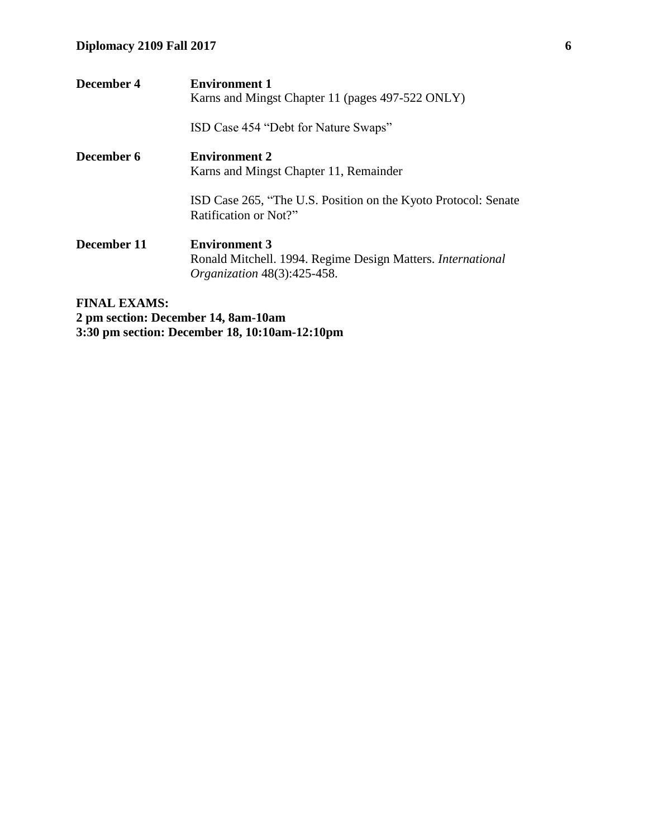| December 4          | <b>Environment 1</b><br>Karns and Mingst Chapter 11 (pages 497-522 ONLY)                                                  |
|---------------------|---------------------------------------------------------------------------------------------------------------------------|
|                     | ISD Case 454 "Debt for Nature Swaps"                                                                                      |
| December 6          | <b>Environment 2</b><br>Karns and Mingst Chapter 11, Remainder                                                            |
|                     | ISD Case 265, "The U.S. Position on the Kyoto Protocol: Senate<br>Ratification or Not?"                                   |
| December 11         | <b>Environment 3</b><br>Ronald Mitchell. 1994. Regime Design Matters. International<br><i>Organization</i> 48(3):425-458. |
| <b>FINAL EXAMS:</b> |                                                                                                                           |

**2 pm section: December 14, 8am-10am 3:30 pm section: December 18, 10:10am-12:10pm**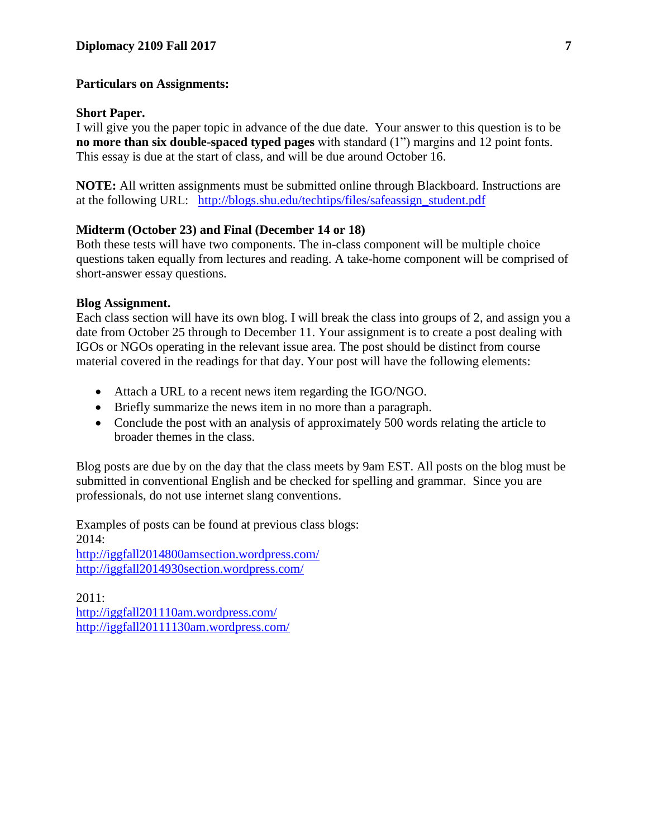## **Particulars on Assignments:**

## **Short Paper.**

I will give you the paper topic in advance of the due date. Your answer to this question is to be **no more than six double-spaced typed pages** with standard (1") margins and 12 point fonts. This essay is due at the start of class, and will be due around October 16.

**NOTE:** All written assignments must be submitted online through Blackboard. Instructions are at the following URL: [http://blogs.shu.edu/techtips/files/safeassign\\_student.pdf](http://blogs.shu.edu/techtips/files/safeassign_student.pdf)

# **Midterm (October 23) and Final (December 14 or 18)**

Both these tests will have two components. The in-class component will be multiple choice questions taken equally from lectures and reading. A take-home component will be comprised of short-answer essay questions.

### **Blog Assignment.**

Each class section will have its own blog. I will break the class into groups of 2, and assign you a date from October 25 through to December 11. Your assignment is to create a post dealing with IGOs or NGOs operating in the relevant issue area. The post should be distinct from course material covered in the readings for that day. Your post will have the following elements:

- Attach a URL to a recent news item regarding the IGO/NGO.
- Briefly summarize the news item in no more than a paragraph.
- Conclude the post with an analysis of approximately 500 words relating the article to broader themes in the class.

Blog posts are due by on the day that the class meets by 9am EST. All posts on the blog must be submitted in conventional English and be checked for spelling and grammar. Since you are professionals, do not use internet slang conventions.

Examples of posts can be found at previous class blogs: 2014: <http://iggfall2014800amsection.wordpress.com/> <http://iggfall2014930section.wordpress.com/>

2011: <http://iggfall201110am.wordpress.com/> <http://iggfall20111130am.wordpress.com/>